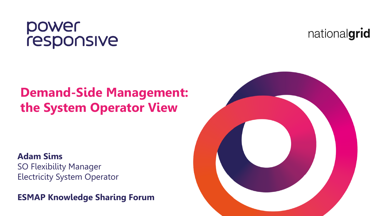## power<br>responsive

### **Demand-Side Management: the System Operator View**

#### **Adam Sims**

SO Flexibility Manager Electricity System Operator

**ESMAP Knowledge Sharing Forum**



nationalgrid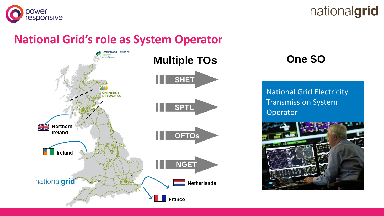



#### **National Grid's role as System Operator**



National Grid Electricity Transmission System **Operator** 

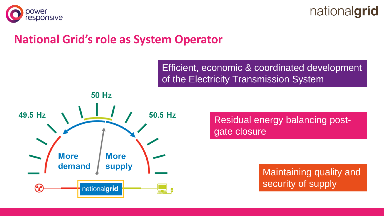



#### **National Grid's role as System Operator**

Efficient, economic & coordinated development of the Electricity Transmission System



Residual energy balancing postgate closure

> Maintaining quality and security of supply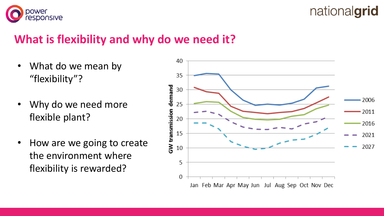



#### **What is flexibility and why do we need it?**

- What do we mean by "flexibility"?
- Why do we need more flexible plant?
- How are we going to create the environment where flexibility is rewarded?

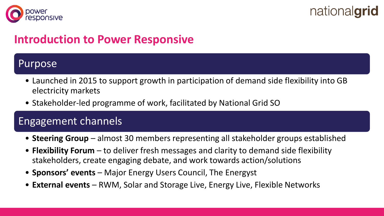



#### **Introduction to Power Responsive**

#### Purpose

- Launched in 2015 to support growth in participation of demand side flexibility into GB electricity markets
- Stakeholder-led programme of work, facilitated by National Grid SO

#### Engagement channels

- **Steering Group**  almost 30 members representing all stakeholder groups established
- **Flexibility Forum** to deliver fresh messages and clarity to demand side flexibility stakeholders, create engaging debate, and work towards action/solutions
- **Sponsors' events**  Major Energy Users Council, The Energyst
- **External events**  RWM, Solar and Storage Live, Energy Live, Flexible Networks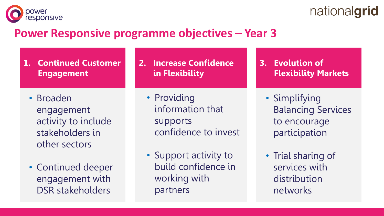

### nationalgrid

#### **Power Responsive programme objectives – Year 3**

- **1. Continued Customer Engagement**
	- Broaden engagement activity to include stakeholders in other sectors
	- Continued deeper engagement with DSR stakeholders
- **2. Increase Confidence in Flexibility**
	- Providing information that supports confidence to invest
	- Support activity to build confidence in working with partners
- **3. Evolution of Flexibility Markets**
	- Simplifying Balancing Services to encourage participation
	- Trial sharing of services with distribution networks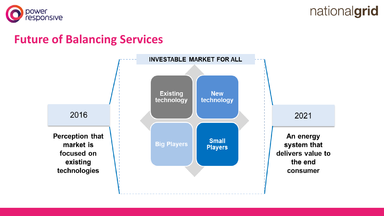



#### **Future of Balancing Services**

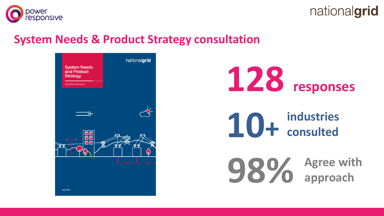



#### **System Needs & Product Strategy consultation**



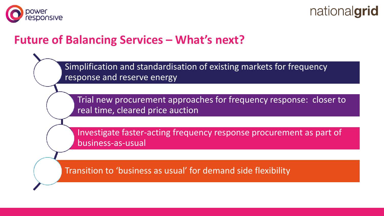



#### **Future of Balancing Services – What's next?**

Simplification and standardisation of existing markets for frequency response and reserve energy

Trial new procurement approaches for frequency response: closer to real time, cleared price auction

Investigate faster-acting frequency response procurement as part of business-as-usual

Transition to 'business as usual' for demand side flexibility